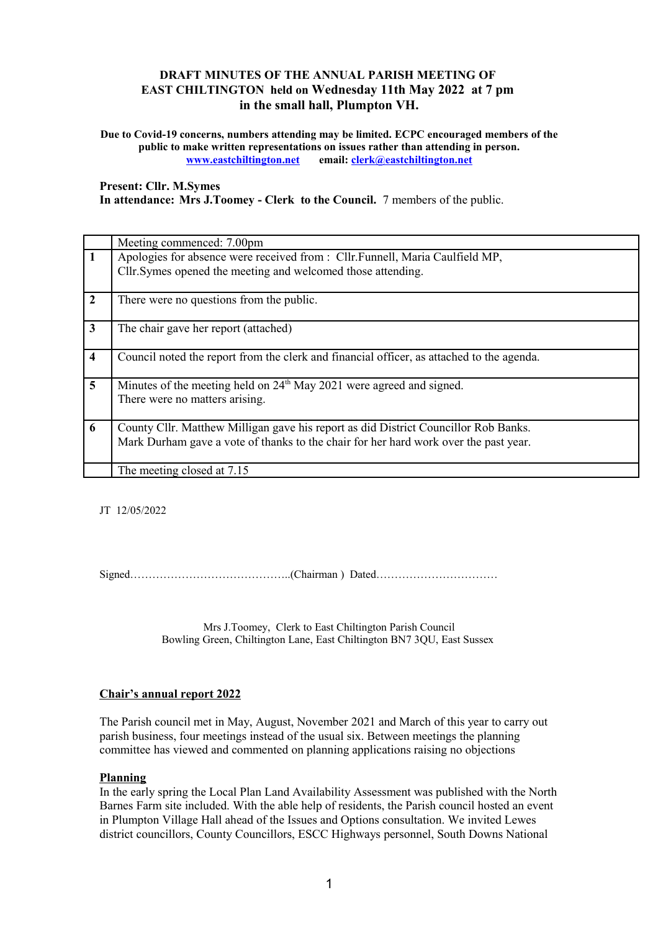# **DRAFT MINUTES OF THE ANNUAL PARISH MEETING OF EAST CHILTINGTON held on Wednesday 11th May 2022 at 7 pm in the small hall, Plumpton VH.**

**Due to Covid-19 concerns, numbers attending may be limited. ECPC encouraged members of the public to make written representations on issues rather than attending in person. [www.eastchiltington.net](http://www.eastchiltington.net/) email: [clerk@eastchiltington.net](mailto:clerk@eastchiltington.net)**

**Present: Cllr. M.Symes In attendance: Mrs J.Toomey - Clerk to the Council.** 7 members of the public.

|                         | Meeting commenced: 7.00pm                                                                 |
|-------------------------|-------------------------------------------------------------------------------------------|
| 1                       | Apologies for absence were received from : Cllr. Funnell, Maria Caulfield MP,             |
|                         | Cllr. Symes opened the meeting and welcomed those attending.                              |
|                         |                                                                                           |
| $\overline{2}$          | There were no questions from the public.                                                  |
|                         |                                                                                           |
| $\overline{\mathbf{3}}$ | The chair gave her report (attached)                                                      |
|                         |                                                                                           |
| 4                       | Council noted the report from the clerk and financial officer, as attached to the agenda. |
|                         |                                                                                           |
| 5 <sup>5</sup>          | Minutes of the meeting held on 24 <sup>th</sup> May 2021 were agreed and signed.          |
|                         | There were no matters arising.                                                            |
|                         |                                                                                           |
| 6                       | County Cllr. Matthew Milligan gave his report as did District Councillor Rob Banks.       |
|                         |                                                                                           |
|                         | Mark Durham gave a vote of thanks to the chair for her hard work over the past year.      |
|                         |                                                                                           |
|                         | The meeting closed at 7.15                                                                |

JT 12/05/2022

Signed……………………………………..(Chairman ) Dated……………………………

Mrs J.Toomey, Clerk to East Chiltington Parish Council Bowling Green, Chiltington Lane, East Chiltington BN7 3QU, East Sussex

### **Chair's annual report 2022**

The Parish council met in May, August, November 2021 and March of this year to carry out parish business, four meetings instead of the usual six. Between meetings the planning committee has viewed and commented on planning applications raising no objections

### **Planning**

In the early spring the Local Plan Land Availability Assessment was published with the North Barnes Farm site included. With the able help of residents, the Parish council hosted an event in Plumpton Village Hall ahead of the Issues and Options consultation. We invited Lewes district councillors, County Councillors, ESCC Highways personnel, South Downs National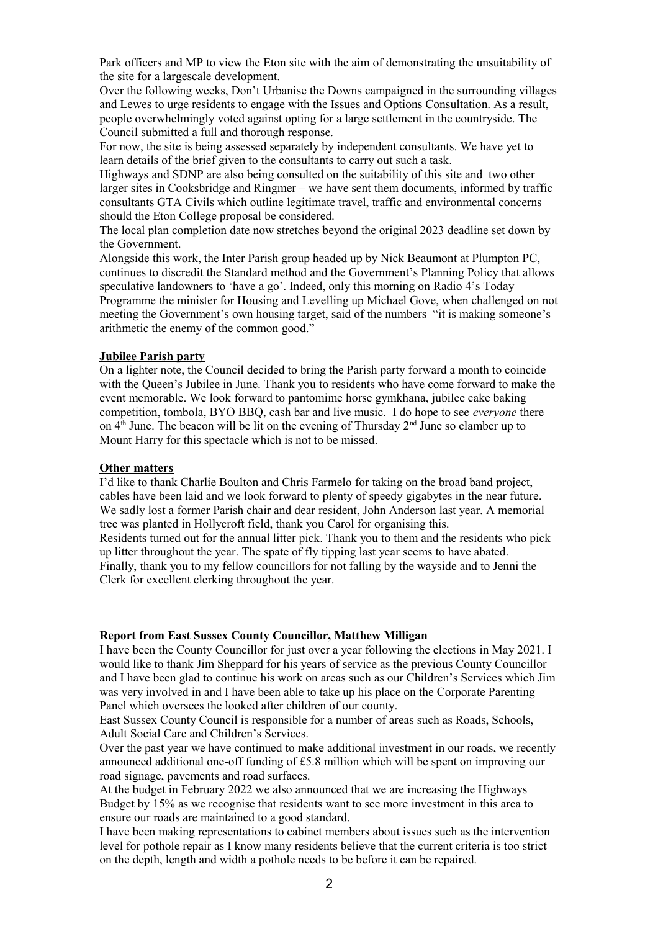Park officers and MP to view the Eton site with the aim of demonstrating the unsuitability of the site for a largescale development.

Over the following weeks, Don't Urbanise the Downs campaigned in the surrounding villages and Lewes to urge residents to engage with the Issues and Options Consultation. As a result, people overwhelmingly voted against opting for a large settlement in the countryside. The Council submitted a full and thorough response.

For now, the site is being assessed separately by independent consultants. We have yet to learn details of the brief given to the consultants to carry out such a task.

Highways and SDNP are also being consulted on the suitability of this site and two other larger sites in Cooksbridge and Ringmer – we have sent them documents, informed by traffic consultants GTA Civils which outline legitimate travel, traffic and environmental concerns should the Eton College proposal be considered.

The local plan completion date now stretches beyond the original 2023 deadline set down by the Government.

Alongside this work, the Inter Parish group headed up by Nick Beaumont at Plumpton PC, continues to discredit the Standard method and the Government's Planning Policy that allows speculative landowners to 'have a go'. Indeed, only this morning on Radio 4's Today Programme the minister for Housing and Levelling up Michael Gove, when challenged on not meeting the Government's own housing target, said of the numbers "it is making someone's arithmetic the enemy of the common good."

### **Jubilee Parish party**

On a lighter note, the Council decided to bring the Parish party forward a month to coincide with the Queen's Jubilee in June. Thank you to residents who have come forward to make the event memorable. We look forward to pantomime horse gymkhana, jubilee cake baking competition, tombola, BYO BBQ, cash bar and live music. I do hope to see *everyone* there on  $4<sup>th</sup>$  June. The beacon will be lit on the evening of Thursday  $2<sup>nd</sup>$  June so clamber up to Mount Harry for this spectacle which is not to be missed.

#### **Other matters**

I'd like to thank Charlie Boulton and Chris Farmelo for taking on the broad band project, cables have been laid and we look forward to plenty of speedy gigabytes in the near future. We sadly lost a former Parish chair and dear resident, John Anderson last year. A memorial tree was planted in Hollycroft field, thank you Carol for organising this. Residents turned out for the annual litter pick. Thank you to them and the residents who pick up litter throughout the year. The spate of fly tipping last year seems to have abated. Finally, thank you to my fellow councillors for not falling by the wayside and to Jenni the Clerk for excellent clerking throughout the year.

#### **Report from East Sussex County Councillor, Matthew Milligan**

I have been the County Councillor for just over a year following the elections in May 2021. I would like to thank Jim Sheppard for his years of service as the previous County Councillor and I have been glad to continue his work on areas such as our Children's Services which Jim was very involved in and I have been able to take up his place on the Corporate Parenting Panel which oversees the looked after children of our county.

East Sussex County Council is responsible for a number of areas such as Roads, Schools, Adult Social Care and Children's Services.

Over the past year we have continued to make additional investment in our roads, we recently announced additional one-off funding of £5.8 million which will be spent on improving our road signage, pavements and road surfaces.

At the budget in February 2022 we also announced that we are increasing the Highways Budget by 15% as we recognise that residents want to see more investment in this area to ensure our roads are maintained to a good standard.

I have been making representations to cabinet members about issues such as the intervention level for pothole repair as I know many residents believe that the current criteria is too strict on the depth, length and width a pothole needs to be before it can be repaired.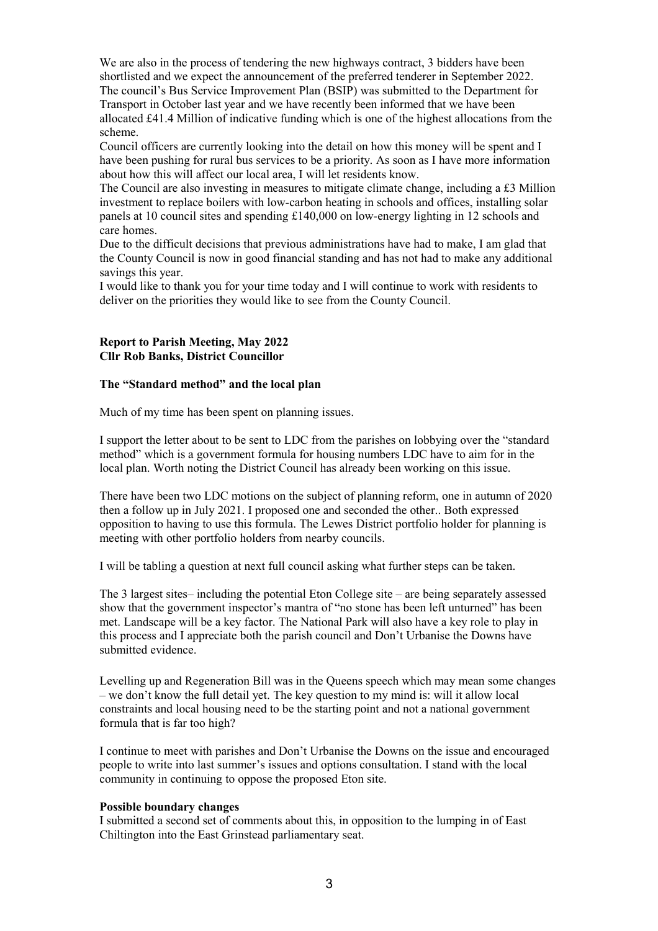We are also in the process of tendering the new highways contract, 3 bidders have been shortlisted and we expect the announcement of the preferred tenderer in September 2022. The council's Bus Service Improvement Plan (BSIP) was submitted to the Department for Transport in October last year and we have recently been informed that we have been allocated £41.4 Million of indicative funding which is one of the highest allocations from the

scheme. Council officers are currently looking into the detail on how this money will be spent and I have been pushing for rural bus services to be a priority. As soon as I have more information about how this will affect our local area, I will let residents know.

The Council are also investing in measures to mitigate climate change, including a £3 Million investment to replace boilers with low-carbon heating in schools and offices, installing solar panels at 10 council sites and spending £140,000 on low-energy lighting in 12 schools and care homes.

Due to the difficult decisions that previous administrations have had to make, I am glad that the County Council is now in good financial standing and has not had to make any additional savings this year.

I would like to thank you for your time today and I will continue to work with residents to deliver on the priorities they would like to see from the County Council.

#### **Report to Parish Meeting, May 2022 Cllr Rob Banks, District Councillor**

#### **The "Standard method" and the local plan**

Much of my time has been spent on planning issues.

I support the letter about to be sent to LDC from the parishes on lobbying over the "standard method" which is a government formula for housing numbers LDC have to aim for in the local plan. Worth noting the District Council has already been working on this issue.

There have been two LDC motions on the subject of planning reform, one in autumn of 2020 then a follow up in July 2021. I proposed one and seconded the other.. Both expressed opposition to having to use this formula. The Lewes District portfolio holder for planning is meeting with other portfolio holders from nearby councils.

I will be tabling a question at next full council asking what further steps can be taken.

The 3 largest sites– including the potential Eton College site – are being separately assessed show that the government inspector's mantra of "no stone has been left unturned" has been met. Landscape will be a key factor. The National Park will also have a key role to play in this process and I appreciate both the parish council and Don't Urbanise the Downs have submitted evidence.

Levelling up and Regeneration Bill was in the Queens speech which may mean some changes – we don't know the full detail yet. The key question to my mind is: will it allow local constraints and local housing need to be the starting point and not a national government formula that is far too high?

I continue to meet with parishes and Don't Urbanise the Downs on the issue and encouraged people to write into last summer's issues and options consultation. I stand with the local community in continuing to oppose the proposed Eton site.

#### **Possible boundary changes**

I submitted a second set of comments about this, in opposition to the lumping in of East Chiltington into the East Grinstead parliamentary seat.